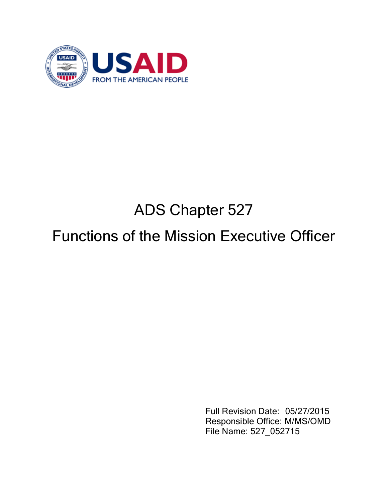

# ADS Chapter 527

# Functions of the Mission Executive Officer

Full Revision Date: 05/27/2015 Responsible Office: M/MS/OMD File Name: 527\_052715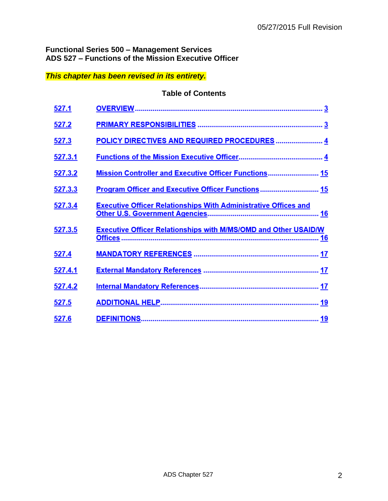# **Functional Series 500 – Management Services ADS 527 – Functions of the Mission Executive Officer**

# *This chapter has been revised in its entirety.*

## **Table of Contents**

| 527.1   |                                                                        |
|---------|------------------------------------------------------------------------|
| 527.2   |                                                                        |
| 527.3   | POLICY DIRECTIVES AND REQUIRED PROCEDURES  4                           |
| 527.3.1 |                                                                        |
| 527.3.2 | Mission Controller and Executive Officer Functions 15                  |
| 527.3.3 | Program Officer and Executive Officer Functions 15                     |
| 527.3.4 | <b>Executive Officer Relationships With Administrative Offices and</b> |
| 527.3.5 | <b>Executive Officer Relationships with M/MS/OMD and Other USAID/W</b> |
| 527.4   |                                                                        |
| 527.4.1 |                                                                        |
| 527.4.2 |                                                                        |
| 527.5   |                                                                        |
| 527.6   |                                                                        |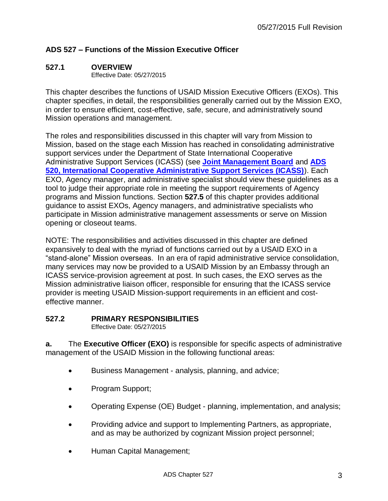# **ADS 527 – Functions of the Mission Executive Officer**

## **527.1 OVERVIEW**

Effective Date: 05/27/2015

This chapter describes the functions of USAID Mission Executive Officers (EXOs). This chapter specifies, in detail, the responsibilities generally carried out by the Mission EXO, in order to ensure efficient, cost-effective, safe, secure, and administratively sound Mission operations and management.

The roles and responsibilities discussed in this chapter will vary from Mission to Mission, based on the stage each Mission has reached in consolidating administrative support services under the Department of State International Cooperative Administrative Support Services (ICASS) (see **[Joint Management Board](http://www.jmc.gov/)** and **[ADS](http://www.usaid.gov/ads/policy/500/520)  [520, International Cooperative Administrative Support Services \(ICASS\)](http://www.usaid.gov/ads/policy/500/520)**). Each EXO, Agency manager, and administrative specialist should view these guidelines as a tool to judge their appropriate role in meeting the support requirements of Agency programs and Mission functions. Section **527.5** of this chapter provides additional guidance to assist EXOs, Agency managers, and administrative specialists who participate in Mission administrative management assessments or serve on Mission opening or closeout teams.

NOTE: The responsibilities and activities discussed in this chapter are defined expansively to deal with the myriad of functions carried out by a USAID EXO in a "stand-alone" Mission overseas. In an era of rapid administrative service consolidation, many services may now be provided to a USAID Mission by an Embassy through an ICASS service-provision agreement at post. In such cases, the EXO serves as the Mission administrative liaison officer, responsible for ensuring that the ICASS service provider is meeting USAID Mission-support requirements in an efficient and costeffective manner.

## **527.2 PRIMARY RESPONSIBILITIES**

Effective Date: 05/27/2015

**a.** The **Executive Officer (EXO)** is responsible for specific aspects of administrative management of the USAID Mission in the following functional areas:

- **Business Management analysis, planning, and advice;**
- Program Support;
- Operating Expense (OE) Budget planning, implementation, and analysis;
- Providing advice and support to Implementing Partners, as appropriate, and as may be authorized by cognizant Mission project personnel;
- Human Capital Management;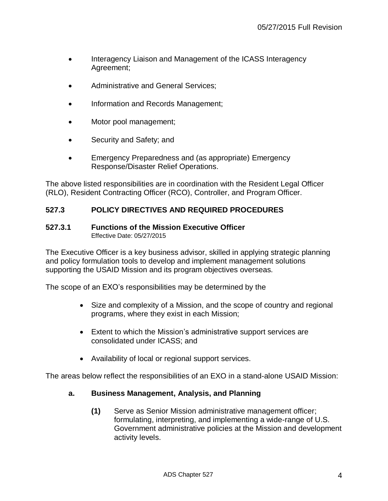- Interagency Liaison and Management of the ICASS Interagency Agreement;
- Administrative and General Services;
- Information and Records Management;
- Motor pool management;
- Security and Safety; and
- Emergency Preparedness and (as appropriate) Emergency Response/Disaster Relief Operations.

The above listed responsibilities are in coordination with the Resident Legal Officer (RLO), Resident Contracting Officer (RCO), Controller, and Program Officer.

# **527.3 POLICY DIRECTIVES AND REQUIRED PROCEDURES**

#### **527.3.1 Functions of the Mission Executive Officer** Effective Date: 05/27/2015

The Executive Officer is a key business advisor, skilled in applying strategic planning and policy formulation tools to develop and implement management solutions supporting the USAID Mission and its program objectives overseas.

The scope of an EXO's responsibilities may be determined by the

- Size and complexity of a Mission, and the scope of country and regional programs, where they exist in each Mission;
- Extent to which the Mission's administrative support services are consolidated under ICASS; and
- Availability of local or regional support services.

The areas below reflect the responsibilities of an EXO in a stand-alone USAID Mission:

# **a. Business Management, Analysis, and Planning**

**(1)** Serve as Senior Mission administrative management officer; formulating, interpreting, and implementing a wide-range of U.S. Government administrative policies at the Mission and development activity levels.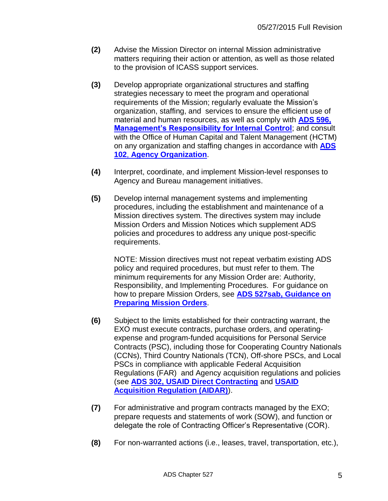- **(2)** Advise the Mission Director on internal Mission administrative matters requiring their action or attention, as well as those related to the provision of ICASS support services.
- **(3)** Develop appropriate organizational structures and staffing strategies necessary to meet the program and operational requirements of the Mission; regularly evaluate the Mission's organization, staffing, and services to ensure the efficient use of material and human resources, as well as comply with **[ADS 596,](http://www.usaid.gov/ads/policy/500/596)  [Management's Responsibility for Internal Control](http://www.usaid.gov/ads/policy/500/596)**; and consult with the Office of Human Capital and Talent Management (HCTM) on any organization and staffing changes in accordance with **[ADS](http://www.usaid.gov/ads/policy/100/102)  102**, **[Agency Organization](http://www.usaid.gov/ads/policy/100/102)**.
- **(4)** Interpret, coordinate, and implement Mission-level responses to Agency and Bureau management initiatives.
- **(5)** Develop internal management systems and implementing procedures, including the establishment and maintenance of a Mission directives system. The directives system may include Mission Orders and Mission Notices which supplement ADS policies and procedures to address any unique post-specific requirements.

NOTE: Mission directives must not repeat verbatim existing ADS policy and required procedures, but must refer to them. The minimum requirements for any Mission Order are: Authority, Responsibility, and Implementing Procedures. For guidance on how to prepare Mission Orders, see **[ADS 527sab,](http://www.usaid.gov/ads/policy/500/527sab) Guidance on [Preparing Mission Orders](http://www.usaid.gov/ads/policy/500/527sab)**.

- **(6)** Subject to the limits established for their contracting warrant, the EXO must execute contracts, purchase orders, and operatingexpense and program-funded acquisitions for Personal Service Contracts (PSC), including those for Cooperating Country Nationals (CCNs), Third Country Nationals (TCN), Off-shore PSCs, and Local PSCs in compliance with applicable Federal Acquisition Regulations (FAR) and Agency acquisition regulations and policies (see **[ADS 302, USAID Direct Contracting](http://www.usaid.gov/ads/policy/300/302)** and **[USAID](http://inside.usaid.gov/ADS/300/aidar.pdf)  [Acquisition Regulation \(AIDAR\)](http://inside.usaid.gov/ADS/300/aidar.pdf)**).
- **(7)** For administrative and program contracts managed by the EXO; prepare requests and statements of work (SOW), and function or delegate the role of Contracting Officer's Representative (COR).
- **(8)** For non-warranted actions (i.e., leases, travel, transportation, etc.),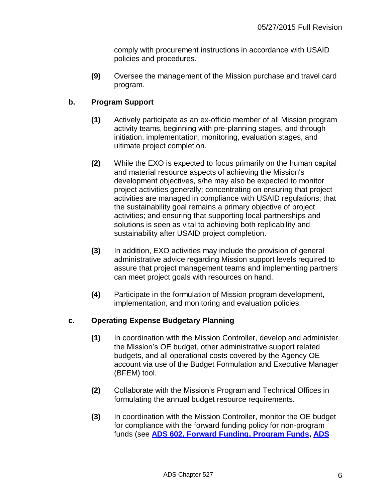comply with procurement instructions in accordance with USAID policies and procedures.

**(9)** Oversee the management of the Mission purchase and travel card program.

# **b. Program Support**

- **(1)** Actively participate as an ex-officio member of all Mission program activity teams, beginning with pre-planning stages, and through initiation, implementation, monitoring, evaluation stages, and ultimate project completion.
- **(2)** While the EXO is expected to focus primarily on the human capital and material resource aspects of achieving the Mission's development objectives, s/he may also be expected to monitor project activities generally; concentrating on ensuring that project activities are managed in compliance with USAID regulations; that the sustainability goal remains a primary objective of project activities; and ensuring that supporting local partnerships and solutions is seen as vital to achieving both replicability and sustainability after USAID project completion.
- **(3)** In addition, EXO activities may include the provision of general administrative advice regarding Mission support levels required to assure that project management teams and implementing partners can meet project goals with resources on hand.
- **(4)** Participate in the formulation of Mission program development, implementation, and monitoring and evaluation policies.

# **c. Operating Expense Budgetary Planning**

- **(1)** In coordination with the Mission Controller, develop and administer the Mission's OE budget, other administrative support related budgets, and all operational costs covered by the Agency OE account via use of the Budget Formulation and Executive Manager (BFEM) tool.
- **(2)** Collaborate with the Mission's Program and Technical Offices in formulating the annual budget resource requirements.
- **(3)** In coordination with the Mission Controller, monitor the OE budget for compliance with the forward funding policy for non-program funds (see **[ADS 602, Forward Funding, Program Funds,](http://www.usaid.gov/ads/policy/600/602) [ADS](http://www.usaid.gov/ads/policy/600/603)**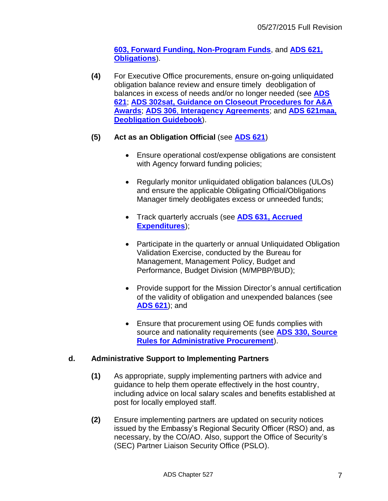**[603, Forward Funding, Non-Program Funds](http://www.usaid.gov/ads/policy/600/603)**, and **[ADS 621,](http://www.usaid.gov/ads/policy/600/621)  [Obligations](http://www.usaid.gov/ads/policy/600/621)**).

**(4)** For Executive Office procurements, ensure on-going unliquidated obligation balance review and ensure timely deobligation of balances in excess of needs and/or no longer needed (see **[ADS](http://www.usaid.gov/ads/policy/600/621)  [621](http://www.usaid.gov/ads/policy/600/621)**; **[ADS 302sat, Guidance on Closeout Procedures for A&A](http://www.usaid.gov/ads/policy/300/302sat)  [Awards](http://www.usaid.gov/ads/policy/300/302sat)**; **ADS 306**, **[Interagency Agreements](http://www.usaid.gov/ads/policy/300/306)**; and **[ADS 621maa,](http://www.usaid.gov/ads/policy/600/621maa) [Deobligation Guidebook](http://www.usaid.gov/ads/policy/600/621maa)**).

# **(5) Act as an Obligation Official** (see **[ADS 621](http://www.usaid.gov/ads/policy/600/621)**)

- Ensure operational cost/expense obligations are consistent with Agency forward funding policies;
- Regularly monitor unliquidated obligation balances (ULOs) and ensure the applicable Obligating Official/Obligations Manager timely deobligates excess or unneeded funds;
- Track quarterly accruals (see **[ADS 631, Accrued](http://www.usaid.gov/ads/policy/600/631)  [Expenditures](http://www.usaid.gov/ads/policy/600/631)**);
- Participate in the quarterly or annual Unliquidated Obligation Validation Exercise, conducted by the Bureau for Management, Management Policy, Budget and Performance, Budget Division (M/MPBP/BUD);
- Provide support for the Mission Director's annual certification of the validity of obligation and unexpended balances (see **[ADS 621](http://www.usaid.gov/ads/policy/600/621)**); and
- Ensure that procurement using OE funds complies with source and nationality requirements (see **ADS [330, Source](http://www.usaid.gov/ads/policy/300/330)  [Rules for Administrative Procurement](http://www.usaid.gov/ads/policy/300/330)**).

# **d. Administrative Support to Implementing Partners**

- **(1)** As appropriate, supply implementing partners with advice and guidance to help them operate effectively in the host country, including advice on local salary scales and benefits established at post for locally employed staff.
- **(2)** Ensure implementing partners are updated on security notices issued by the Embassy's Regional Security Officer (RSO) and, as necessary, by the CO/AO. Also, support the Office of Security's (SEC) Partner Liaison Security Office (PSLO).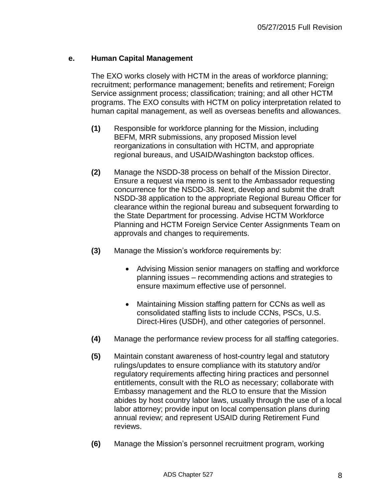## **e. Human Capital Management**

The EXO works closely with HCTM in the areas of workforce planning; recruitment; performance management; benefits and retirement; Foreign Service assignment process; classification; training; and all other HCTM programs. The EXO consults with HCTM on policy interpretation related to human capital management, as well as overseas benefits and allowances.

- **(1)** Responsible for workforce planning for the Mission, including BEFM, MRR submissions, any proposed Mission level reorganizations in consultation with HCTM, and appropriate regional bureaus, and USAID/Washington backstop offices.
- **(2)** Manage the NSDD-38 process on behalf of the Mission Director. Ensure a request via memo is sent to the Ambassador requesting concurrence for the NSDD-38. Next, develop and submit the draft NSDD-38 application to the appropriate Regional Bureau Officer for clearance within the regional bureau and subsequent forwarding to the State Department for processing. Advise HCTM Workforce Planning and HCTM Foreign Service Center Assignments Team on approvals and changes to requirements.
- **(3)** Manage the Mission's workforce requirements by:
	- Advising Mission senior managers on staffing and workforce planning issues – recommending actions and strategies to ensure maximum effective use of personnel.
	- Maintaining Mission staffing pattern for CCNs as well as consolidated staffing lists to include CCNs, PSCs, U.S. Direct-Hires (USDH), and other categories of personnel.
- **(4)** Manage the performance review process for all staffing categories.
- **(5)** Maintain constant awareness of host-country legal and statutory rulings/updates to ensure compliance with its statutory and/or regulatory requirements affecting hiring practices and personnel entitlements, consult with the RLO as necessary; collaborate with Embassy management and the RLO to ensure that the Mission abides by host country labor laws, usually through the use of a local labor attorney; provide input on local compensation plans during annual review; and represent USAID during Retirement Fund reviews.
- **(6)** Manage the Mission's personnel recruitment program, working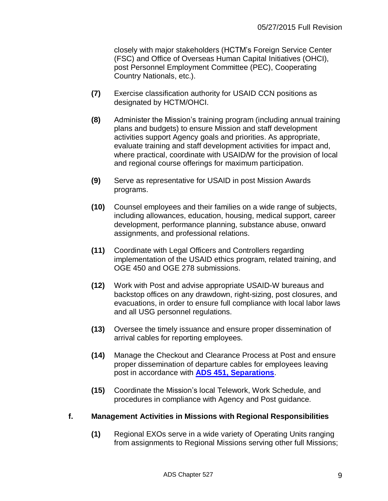closely with major stakeholders (HCTM's Foreign Service Center (FSC) and Office of Overseas Human Capital Initiatives (OHCI), post Personnel Employment Committee (PEC), Cooperating Country Nationals, etc.).

- **(7)** Exercise classification authority for USAID CCN positions as designated by HCTM/OHCI.
- **(8)** Administer the Mission's training program (including annual training plans and budgets) to ensure Mission and staff development activities support Agency goals and priorities. As appropriate, evaluate training and staff development activities for impact and, where practical, coordinate with USAID/W for the provision of local and regional course offerings for maximum participation.
- **(9)** Serve as representative for USAID in post Mission Awards programs.
- **(10)** Counsel employees and their families on a wide range of subjects, including allowances, education, housing, medical support, career development, performance planning, substance abuse, onward assignments, and professional relations.
- **(11)** Coordinate with Legal Officers and Controllers regarding implementation of the USAID ethics program, related training, and OGE 450 and OGE 278 submissions.
- **(12)** Work with Post and advise appropriate USAID-W bureaus and backstop offices on any drawdown, right-sizing, post closures, and evacuations, in order to ensure full compliance with local labor laws and all USG personnel regulations.
- **(13)** Oversee the timely issuance and ensure proper dissemination of arrival cables for reporting employees.
- **(14)** Manage the Checkout and Clearance Process at Post and ensure proper dissemination of departure cables for employees leaving post in accordance with **[ADS 451, Separations](http://www.usaid.gov/ads/policy/400/451)**.
- **(15)** Coordinate the Mission's local Telework, Work Schedule, and procedures in compliance with Agency and Post guidance.

# **f. Management Activities in Missions with Regional Responsibilities**

**(1)** Regional EXOs serve in a wide variety of Operating Units ranging from assignments to Regional Missions serving other full Missions;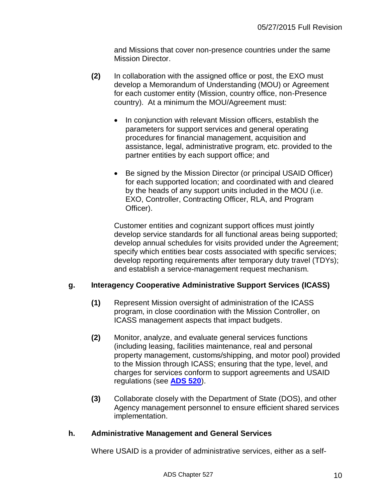and Missions that cover non-presence countries under the same Mission Director.

- **(2)** In collaboration with the assigned office or post, the EXO must develop a Memorandum of Understanding (MOU) or Agreement for each customer entity (Mission, country office, non-Presence country). At a minimum the MOU/Agreement must:
	- In conjunction with relevant Mission officers, establish the parameters for support services and general operating procedures for financial management, acquisition and assistance, legal, administrative program, etc. provided to the partner entities by each support office; and
	- Be signed by the Mission Director (or principal USAID Officer) for each supported location; and coordinated with and cleared by the heads of any support units included in the MOU (i.e. EXO, Controller, Contracting Officer, RLA, and Program Officer).

Customer entities and cognizant support offices must jointly develop service standards for all functional areas being supported; develop annual schedules for visits provided under the Agreement; specify which entities bear costs associated with specific services; develop reporting requirements after temporary duty travel (TDYs); and establish a service-management request mechanism.

## **g. Interagency Cooperative Administrative Support Services (ICASS)**

- **(1)** Represent Mission oversight of administration of the ICASS program, in close coordination with the Mission Controller, on ICASS management aspects that impact budgets.
- **(2)** Monitor, analyze, and evaluate general services functions (including leasing, facilities maintenance, real and personal property management, customs/shipping, and motor pool) provided to the Mission through ICASS; ensuring that the type, level, and charges for services conform to support agreements and USAID regulations (see **[ADS 520](http://www.usaid.gov/ads/policy/500/520)**).
- **(3)** Collaborate closely with the Department of State (DOS), and other Agency management personnel to ensure efficient shared services implementation.

## **h. Administrative Management and General Services**

Where USAID is a provider of administrative services, either as a self-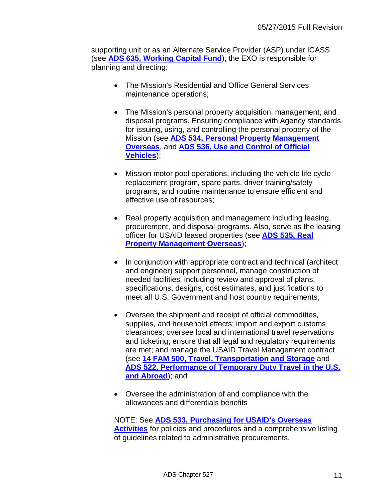supporting unit or as an Alternate Service Provider (ASP) under ICASS (see **[ADS 635, Working Capital Fund](http://www.usaid.gov/ads/policy/600/635)**), the EXO is responsible for planning and directing:

- The Mission's Residential and Office General Services maintenance operations;
- The Mission's personal property acquisition, management, and disposal programs. Ensuring compliance with Agency standards for issuing, using, and controlling the personal property of the Mission (see **[ADS 534, Personal Property Management](http://www.usaid.gov/ads/policy/500/534)  [Overseas](http://www.usaid.gov/ads/policy/500/534)**, and **[ADS 536, Use and Control of Official](http://www.usaid.gov/ads/policy/500/536)  [Vehicles](http://www.usaid.gov/ads/policy/500/536)**);
- Mission motor pool operations, including the vehicle life cycle replacement program, spare parts, driver training/safety programs, and routine maintenance to ensure efficient and effective use of resources;
- Real property acquisition and management including leasing, procurement, and disposal programs. Also, serve as the leasing officer for USAID leased properties (see **[ADS 535, Real](http://www.usaid.gov/ads/policy/500/535)  [Property Management Overseas](http://www.usaid.gov/ads/policy/500/535)**);
- In conjunction with appropriate contract and technical (architect and engineer) support personnel, manage construction of needed facilities, including review and approval of plans, specifications, designs, cost estimates, and justifications to meet all U.S. Government and host country requirements;
- Oversee the shipment and receipt of official commodities, supplies, and household effects; import and export customs clearances; oversee local and international travel reservations and ticketing; ensure that all legal and regulatory requirements are met; and manage the USAID Travel Management contract (see **[14 FAM 500, Travel, Transportation and Storage](http://www.state.gov/documents/organization/88649.pdf)** and **[ADS 522, Performance of Temporary Duty Travel in the U.S.](http://www.usaid.gov/ads/policy/500/522)  [and Abroad](http://www.usaid.gov/ads/policy/500/522)**); and
- Oversee the administration of and compliance with the allowances and differentials benefits

## NOTE: See **ADS 533, [Purchasing for USAID's Overseas](http://www.usaid.gov/ads/policy/500/533)  [Activities](http://www.usaid.gov/ads/policy/500/533)** for policies and procedures and a comprehensive listing of guidelines related to administrative procurements.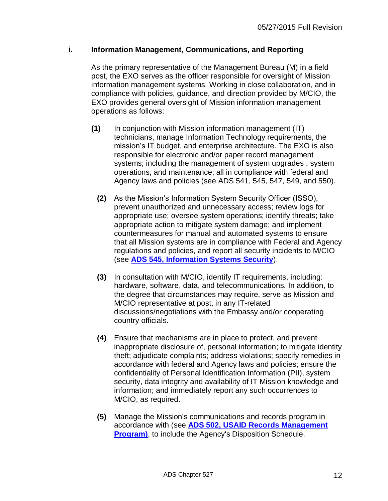## **i. Information Management, Communications, and Reporting**

As the primary representative of the Management Bureau (M) in a field post, the EXO serves as the officer responsible for oversight of Mission information management systems. Working in close collaboration, and in compliance with policies, guidance, and direction provided by M/CIO, the EXO provides general oversight of Mission information management operations as follows:

- **(1)** In conjunction with Mission information management (IT) technicians, manage Information Technology requirements, the mission's IT budget, and enterprise architecture. The EXO is also responsible for electronic and/or paper record management systems; including the management of system upgrades , system operations, and maintenance; all in compliance with federal and Agency laws and policies (see ADS 541, 545, 547, 549, and 550).
	- **(2)** As the Mission's Information System Security Officer (ISSO), prevent unauthorized and unnecessary access; review logs for appropriate use; oversee system operations; identify threats; take appropriate action to mitigate system damage; and implement countermeasures for manual and automated systems to ensure that all Mission systems are in compliance with Federal and Agency regulations and policies, and report all security incidents to M/CIO (see **[ADS 545, Information Systems Security](http://www.usaid.gov/ads/policy/500/545)**).
	- **(3)** In consultation with M/CIO, identify IT requirements, including: hardware, software, data, and telecommunications. In addition, to the degree that circumstances may require, serve as Mission and M/CIO representative at post, in any IT-related discussions/negotiations with the Embassy and/or cooperating country officials.
	- **(4)** Ensure that mechanisms are in place to protect, and prevent inappropriate disclosure of, personal information; to mitigate identity theft; adjudicate complaints; address violations; specify remedies in accordance with federal and Agency laws and policies; ensure the confidentiality of Personal Identification Information (PII), system security, data integrity and availability of IT Mission knowledge and information; and immediately report any such occurrences to M/CIO, as required.
	- **(5)** Manage the Mission's communications and records program in accordance with (see **[ADS 502, USAID Records Management](http://www.usaid.gov/ads/policy/500/502)  [Program\)](http://www.usaid.gov/ads/policy/500/502)**, to include the Agency's Disposition Schedule.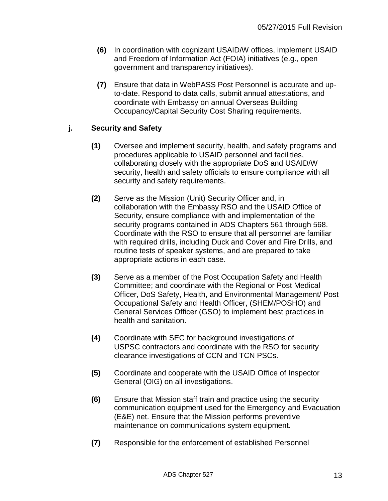- **(6)** In coordination with cognizant USAID/W offices, implement USAID and Freedom of Information Act (FOIA) initiatives (e.g., open government and transparency initiatives).
- **(7)** Ensure that data in WebPASS Post Personnel is accurate and upto-date. Respond to data calls, submit annual attestations, and coordinate with Embassy on annual Overseas Building Occupancy/Capital Security Cost Sharing requirements.

# **j. Security and Safety**

- **(1)** Oversee and implement security, health, and safety programs and procedures applicable to USAID personnel and facilities, collaborating closely with the appropriate DoS and USAID/W security, health and safety officials to ensure compliance with all security and safety requirements.
- **(2)** Serve as the Mission (Unit) Security Officer and, in collaboration with the Embassy RSO and the USAID Office of Security, ensure compliance with and implementation of the security programs contained in ADS Chapters 561 through 568. Coordinate with the RSO to ensure that all personnel are familiar with required drills, including Duck and Cover and Fire Drills, and routine tests of speaker systems, and are prepared to take appropriate actions in each case.
- **(3)** Serve as a member of the Post Occupation Safety and Health Committee; and coordinate with the Regional or Post Medical Officer, DoS Safety, Health, and Environmental Management/ Post Occupational Safety and Health Officer, (SHEM/POSHO) and General Services Officer (GSO) to implement best practices in health and sanitation.
- **(4)** Coordinate with SEC for background investigations of USPSC contractors and coordinate with the RSO for security clearance investigations of CCN and TCN PSCs.
- **(5)** Coordinate and cooperate with the USAID Office of Inspector General (OIG) on all investigations.
- **(6)** Ensure that Mission staff train and practice using the security communication equipment used for the Emergency and Evacuation (E&E) net. Ensure that the Mission performs preventive maintenance on communications system equipment.
- **(7)** Responsible for the enforcement of established Personnel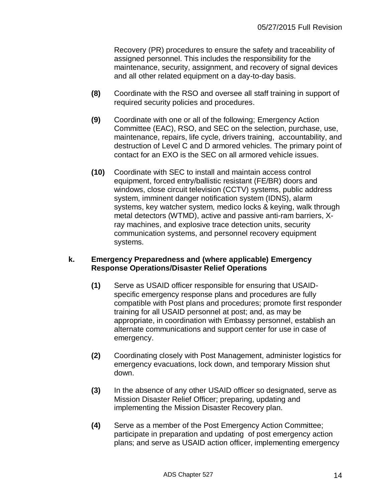Recovery (PR) procedures to ensure the safety and traceability of assigned personnel. This includes the responsibility for the maintenance, security, assignment, and recovery of signal devices and all other related equipment on a day-to-day basis.

- **(8)** Coordinate with the RSO and oversee all staff training in support of required security policies and procedures.
- **(9)** Coordinate with one or all of the following; Emergency Action Committee (EAC), RSO, and SEC on the selection, purchase, use, maintenance, repairs, life cycle, drivers training, accountability, and destruction of Level C and D armored vehicles. The primary point of contact for an EXO is the SEC on all armored vehicle issues.
- **(10)** Coordinate with SEC to install and maintain access control equipment, forced entry/ballistic resistant (FE/BR) doors and windows, close circuit television (CCTV) systems, public address system, imminent danger notification system (IDNS), alarm systems, key watcher system, medico locks & keying, walk through metal detectors (WTMD), active and passive anti-ram barriers, Xray machines, and explosive trace detection units, security communication systems, and personnel recovery equipment systems.

## **k. Emergency Preparedness and (where applicable) Emergency Response Operations/Disaster Relief Operations**

- **(1)** Serve as USAID officer responsible for ensuring that USAIDspecific emergency response plans and procedures are fully compatible with Post plans and procedures; promote first responder training for all USAID personnel at post; and, as may be appropriate, in coordination with Embassy personnel, establish an alternate communications and support center for use in case of emergency.
- **(2)** Coordinating closely with Post Management, administer logistics for emergency evacuations, lock down, and temporary Mission shut down.
- **(3)** In the absence of any other USAID officer so designated, serve as Mission Disaster Relief Officer; preparing, updating and implementing the Mission Disaster Recovery plan.
- **(4)** Serve as a member of the Post Emergency Action Committee; participate in preparation and updating of post emergency action plans; and serve as USAID action officer, implementing emergency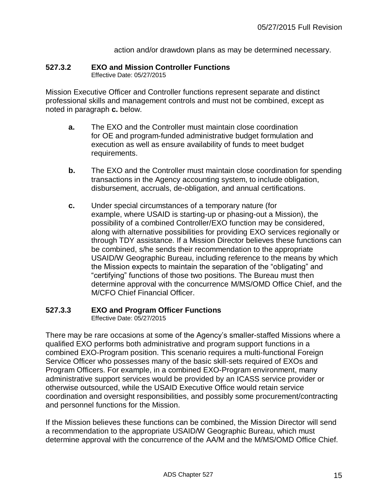action and/or drawdown plans as may be determined necessary.

# **527.3.2 EXO and Mission Controller Functions**

Effective Date: 05/27/2015

Mission Executive Officer and Controller functions represent separate and distinct professional skills and management controls and must not be combined, except as noted in paragraph **c.** below.

- **a.** The EXO and the Controller must maintain close coordination for OE and program-funded administrative budget formulation and execution as well as ensure availability of funds to meet budget requirements.
- **b.** The EXO and the Controller must maintain close coordination for spending transactions in the Agency accounting system, to include obligation, disbursement, accruals, de-obligation, and annual certifications.
- **c.** Under special circumstances of a temporary nature (for example, where USAID is starting-up or phasing-out a Mission), the possibility of a combined Controller/EXO function may be considered, along with alternative possibilities for providing EXO services regionally or through TDY assistance. If a Mission Director believes these functions can be combined, s/he sends their recommendation to the appropriate USAID/W Geographic Bureau, including reference to the means by which the Mission expects to maintain the separation of the "obligating" and "certifying" functions of those two positions. The Bureau must then determine approval with the concurrence M/MS/OMD Office Chief, and the M/CFO Chief Financial Officer.

## **527.3.3 EXO and Program Officer Functions**

Effective Date: 05/27/2015

There may be rare occasions at some of the Agency's smaller-staffed Missions where a qualified EXO performs both administrative and program support functions in a combined EXO-Program position. This scenario requires a multi-functional Foreign Service Officer who possesses many of the basic skill-sets required of EXOs and Program Officers. For example, in a combined EXO-Program environment, many administrative support services would be provided by an ICASS service provider or otherwise outsourced, while the USAID Executive Office would retain service coordination and oversight responsibilities, and possibly some procurement/contracting and personnel functions for the Mission.

If the Mission believes these functions can be combined, the Mission Director will send a recommendation to the appropriate USAID/W Geographic Bureau, which must determine approval with the concurrence of the AA/M and the M/MS/OMD Office Chief.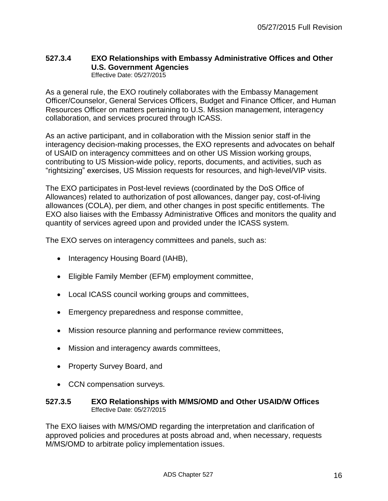#### **527.3.4 EXO Relationships with Embassy Administrative Offices and Other U.S. Government Agencies** Effective Date: 05/27/2015

As a general rule, the EXO routinely collaborates with the Embassy Management Officer/Counselor, General Services Officers, Budget and Finance Officer, and Human Resources Officer on matters pertaining to U.S. Mission management, interagency collaboration, and services procured through ICASS.

As an active participant, and in collaboration with the Mission senior staff in the interagency decision-making processes, the EXO represents and advocates on behalf of USAID on interagency committees and on other US Mission working groups, contributing to US Mission-wide policy, reports, documents, and activities, such as "rightsizing" exercises, US Mission requests for resources, and high-level/VIP visits.

The EXO participates in Post-level reviews (coordinated by the DoS Office of Allowances) related to authorization of post allowances, danger pay, cost-of-living allowances (COLA), per diem, and other changes in post specific entitlements. The EXO also liaises with the Embassy Administrative Offices and monitors the quality and quantity of services agreed upon and provided under the ICASS system.

The EXO serves on interagency committees and panels, such as:

- Interagency Housing Board (IAHB),
- Eligible Family Member (EFM) employment committee,
- Local ICASS council working groups and committees,
- Emergency preparedness and response committee,
- Mission resource planning and performance review committees,
- Mission and interagency awards committees,
- Property Survey Board, and
- CCN compensation surveys.

#### **527.3.5 EXO Relationships with M/MS/OMD and Other USAID/W Offices** Effective Date: 05/27/2015

The EXO liaises with M/MS/OMD regarding the interpretation and clarification of approved policies and procedures at posts abroad and, when necessary, requests M/MS/OMD to arbitrate policy implementation issues.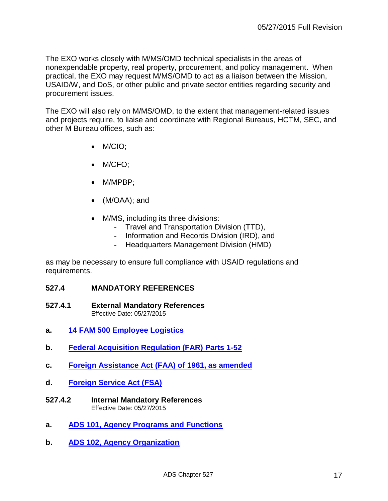The EXO works closely with M/MS/OMD technical specialists in the areas of nonexpendable property, real property, procurement, and policy management. When practical, the EXO may request M/MS/OMD to act as a liaison between the Mission, USAID/W, and DoS, or other public and private sector entities regarding security and procurement issues.

The EXO will also rely on M/MS/OMD, to the extent that management-related issues and projects require, to liaise and coordinate with Regional Bureaus, HCTM, SEC, and other M Bureau offices, such as:

- M/CIO;
- M/CFO;
- M/MPBP;
- (M/OAA); and
- M/MS, including its three divisions:
	- Travel and Transportation Division (TTD),
	- Information and Records Division (IRD), and
	- Headquarters Management Division (HMD)

as may be necessary to ensure full compliance with USAID regulations and requirements.

#### **527.4 MANDATORY REFERENCES**

- **527.4.1 External Mandatory References** Effective Date: 05/27/2015
- **a. [14 FAM 500 Employee Logistics](http://www.state.gov/m/a/dir/regs/fam/14fam/index.htm)**
- **b. [Federal Acquisition Regulation \(FAR\)](http://www.usaid.gov/ads/policy/300/aidar) Parts 1-52**
- **c. [Foreign Assistance Act \(FAA\) of 1961, as amended](http://www.usaid.gov/ads/policy/400/faa)**
- **d. [Foreign Service Act \(FSA\)](http://www.usaid.gov/ads/policy/400/fsa)**
- **527.4.2 Internal Mandatory References** Effective Date: 05/27/2015
- **a. ADS 101, Agency [Programs and Functions](http://www.usaid.gov/ads/policy/100/101)**
- **b. [ADS 102, Agency Organization](http://www.usaid.gov/ads/policy/100/102)**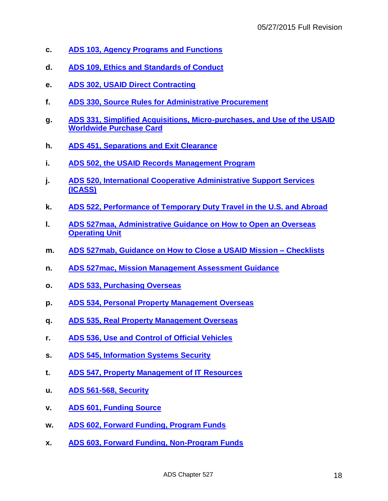- **c. [ADS 103, Agency Programs and Functions](http://www.usaid.gov/ads/policy/100/103)**
- **d. [ADS 109, Ethics and Standards of Conduct](http://www.usaid.gov/ads/policy/100/109)**
- **e. [ADS 302, USAID Direct Contracting](http://www.usaid.gov/ads/policy/300/302)**
- **f. [ADS 330, Source Rules for Administrative Procurement](http://www.usaid.gov/ads/policy/300/330)**
- **g. [ADS 331, Simplified Acquisitions, Micro-purchases,](http://www.usaid.gov/ads/policy/300/331) and Use of the USAID [Worldwide Purchase Card](http://www.usaid.gov/ads/policy/300/331)**
- **h. [ADS 451, Separations and Exit Clearance](http://www.usaid.gov/ads/policy/400/451)**
- **i. [ADS 502, the USAID Records Management Program](http://www.usaid.gov/ads/policy/500/502)**
- **j. [ADS 520, International Cooperative Administrative Support Services](http://www.usaid.gov/ads/policy/500/520)  [\(ICASS\)](http://www.usaid.gov/ads/policy/500/520)**
- **k. [ADS 522, Performance of Temporary Duty Travel in the U.S. and Abroad](http://www.usaid.gov/ads/policy/500/522)**
- **l. [ADS 527maa, Administrative Guidance on How to Open an Overseas](http://www.usaid.gov/ads/policy/500/527maa)  [Operating Unit](http://www.usaid.gov/ads/policy/500/527maa)**
- **m. [ADS 527mab, Guidance on How to Close a USAID Mission –](http://www.usaid.gov/ads/policy/500/527mab) Checklists**
- **n. [ADS 527mac, Mission Management Assessment Guidance](http://www.usaid.gov/ads/policy/500/527mac)**
- **o. [ADS 533, Purchasing Overseas](http://www.usaid.gov/ads/policy/500/533)**
- **p. [ADS 534, Personal Property Management Overseas](http://www.usaid.gov/ads/policy/500/534)**
- **q. [ADS 535, Real Property Management Overseas](http://www.usaid.gov/ads/policy/500/535)**
- **r. [ADS 536, Use and Control](http://www.usaid.gov/ads/policy/500/536) of Official Vehicles**
- **s. [ADS 545, Information Systems Security](http://www.usaid.gov/ads/policy/500/545)**
- **t. [ADS 547, Property Management of IT Resources](http://www.usaid.gov/ads/policy/500/547)**
- **u. [ADS 561-568, Security](http://www.usaid.gov/ads/policy)**
- **v. [ADS 601, Funding Source](http://www.usaid.gov/ads/policy/600/601)**
- **w. [ADS 602, Forward Funding, Program Funds](http://www.usaid.gov/ads/policy/600/602)**
- **x. [ADS 603, Forward Funding, Non-Program Funds](http://www.usaid.gov/ads/policy/600/603)**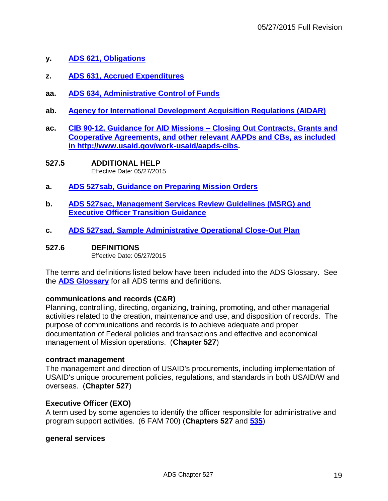- **y. [ADS 621, Obligations](http://www.usaid.gov/ads/policy/600/621)**
- **z. [ADS 631, Accrued Expenditures](http://www.usaid.gov/ads/policy/600/631)**
- **aa. [ADS 634, Administrative Control of Funds](http://www.usaid.gov/ads/policy/600/634)**
- **ab. [Agency for International Development Acquisition Regulations \(AIDAR\)](http://www.usaid.gov/ads/policy/300/aidar)**
- **ac. [CIB 90-12, Guidance for AID Missions –](http://www.usaid.gov/work-usaid/aapds-cibs) Closing Out Contracts, Grants and [Cooperative Agreements,](http://www.usaid.gov/work-usaid/aapds-cibs) and other relevant AAPDs and CBs, as included in [http://www.usaid.gov/work-usaid/aapds-cibs.](http://www.usaid.gov/work-usaid/aapds-cibs)**
- **527.5 ADDITIONAL HELP** Effective Date: 05/27/2015
- **a. [ADS 527sab, Guidance on Preparing Mission Orders](http://www.usaid.gov/ads/policy/500/527sab)**
- **b. [ADS 527sac, Management Services Review Guidelines \(MSRG\) and](http://www.usaid.gov/ads/policy/500/527sac) [Executive Officer Transition Guidance](http://www.usaid.gov/ads/policy/500/527sac)**
- **c. [ADS 527sad, Sample Administrative Operational Close-Out Plan](http://www.usaid.gov/ads/policy/500/527sad)**
- **527.6 DEFINITIONS**

Effective Date: 05/27/2015

The terms and definitions listed below have been included into the ADS Glossary. See the **[ADS Glossary](http://www.usaid.gov/ads/policy/glossary)** for all ADS terms and definitions.

## **communications and records (C&R)**

Planning, controlling, directing, organizing, training, promoting, and other managerial activities related to the creation, maintenance and use, and disposition of records. The purpose of communications and records is to achieve adequate and proper documentation of Federal policies and transactions and effective and economical management of Mission operations. (**Chapter 527**)

## **contract management**

The management and direction of USAID's procurements, including implementation of USAID's unique procurement policies, regulations, and standards in both USAID/W and overseas. (**Chapter 527**)

# **Executive Officer (EXO)**

A term used by some agencies to identify the officer responsible for administrative and program support activities. (6 FAM 700) (**Chapters 527** and **[535](http://www.usaid.gov/ads/policy/500/535)**)

## **general services**